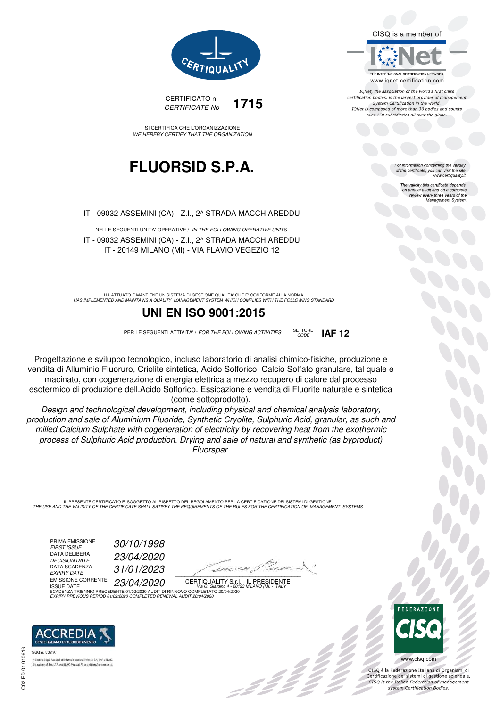CISQ is a member of



IQNet, the association of the world's first class certification bodies, is the largest provider of management System Certification in the world. IONet is composed of more than 30 bodies and counts over 150 subsidiaries all over the globe

CODE **IAF 12**

For information concerning the validity<br>of the certificate, you can visit the site www.certiquality.it

> The validity this certificate depends The validity this certificate depends<br>on annual audit and on a complete<br>review every three years of the<br>Management System.



CERTIFICATO n. CERTIFICATE No **1715** 

SI CERTIFICA CHE L'ORGANIZZAZIONE WE HEREBY CERTIFY THAT THE ORGANIZATION

## **FLUORSID S.P.A.**

IT - 09032 ASSEMINI (CA) - Z.I., 2^ STRADA MACCHIAREDDU

NELLE SEGUENTI UNITA' OPERATIVE / IN THE FOLLOWING OPERATIVE UNITS IT - 09032 ASSEMINI (CA) - Z.I., 2^ STRADA MACCHIAREDDU IT - 20149 MILANO (MI) - VIA FLAVIO VEGEZIO 12

HA ATTUATO E MANTIENE UN SISTEMA DI GESTIONE QUALITA' CHE E' CONFORME ALLA NORMA<br>HAS IMPLEMENTED AND MAINTAINS A QUALITY MANAGEMENT SYSTEM WHICH COMPLIES WITH THE FOLLOWING STANDARD

### **UNI EN ISO 9001:2015**

PER LE SEGUENTI ATTIVITA' / FOR THE FOLLOWING ACTIVITIES SETTORE

Progettazione e sviluppo tecnologico, incluso laboratorio di analisi chimico-fisiche, produzione e vendita di Alluminio Fluoruro, Criolite sintetica, Acido Solforico, Calcio Solfato granulare, tal quale e macinato, con cogenerazione di energia elettrica a mezzo recupero di calore dal processo esotermico di produzione dell.Acido Solforico. Essicazione e vendita di Fluorite naturale e sintetica (come sottoprodotto).

Design and technological development, including physical and chemical analysis laboratory, production and sale of Aluminium Fluoride, Synthetic Cryolite, Sulphuric Acid, granular, as such and milled Calcium Sulphate with cogeneration of electricity by recovering heat from the exothermic process of Sulphuric Acid production. Drying and sale of natural and synthetic (as byproduct) Fluorspar.

IL PRESENTE CERTIFICATO E' SOGGETTO AL RISPETTO DEL REGOLAMENTO PER LA CERTIFICAZIONE DEI SISTEMI DI GESTIONE<br>THE USE AND THE VALIDITY OF THE CERTIFICATE SHALL SATISFY THE REQUIREMENTS OF THE RULES FOR THE CERTIFICATION OF

PRIMA EMISSIONE<br>FIRST ISSUE DATA DELIBERA<br>DECISION DATE DATA SCADENZA<br>EXPIRY DATE DATA SCADENZA<br>
EXPIRY DATE 31/01/2023<br>
EMISSIONE CORRENTE 22/01/2020 EMISSIONE CORRENTE ISSUE DATE 23/04/2020

30/10/1998 DECISION DATE 23/04/2020

10er re El  $\mathcal{L}$  and the set of the set of the set of the set of the set of the set of the set of the set of the set of the set of the set of the set of the set of the set of the set of the set of the set of the set of the set of

:42<sup>2</sup>

CERTIQUALITY S.r.l. - IL PRESIDENTE ISSUE DATE<br>SCADENZA TRIENNIO PRECEDENTE 01/02/2020 AUDIT DI RINNOVO COMPLETATO 20/04/2020 EXPIRY PREVIOUS PERIOD 01/02/2020 COMPLETED RENEWAL AUDIT 20/04/2020



SGQ n. 008 A of EA, IAF and ILAC Mutuat Re **FFDFRAZIONE** 

**CO** 

www.cisq.com

CISO è la Federazione Italiana di Organismi di CISQ e la regerazione italiana di Organismi di<br>Certificazione dei sistemi di gestione aziendale.<br>CISQ is the Italian Federation of management system Certification Bodies.